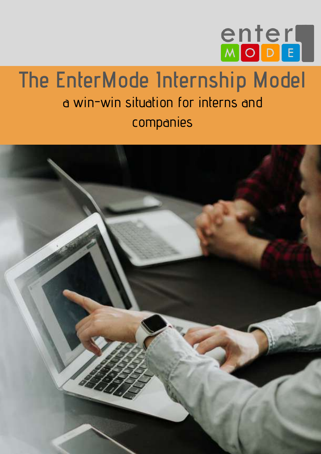

## **The EnterMode Internship Model** a win-win situation for interns and companies

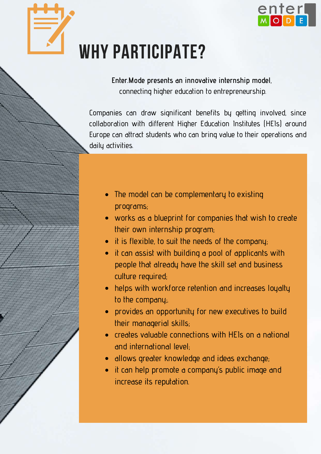

# WHY PARTICIPATE?

**Enter.Mode presents an innovative internship model**, connecting higher education to entrepreneurship.

Companies can draw significant benefits by getting involved, since collaboration with different Higher Education Institutes (HEIs) around Europe can attract students who can bring value to their operations and daily activities.

- The model can be complementary to existing programs;
- works as a blueprint for companies that wish to create their own internship program;
- $\bullet$  it is flexible, to suit the needs of the company;
- it can assist with building a pool of applicants with people that already have the skill set and business culture required;
- helps with workforce retention and increases loyalty to the company;.
- provides an opportunity for new executives to build their managerial skills;
- creates valuable connections with HEIs on a national and international level;
- allows greater knowledge and ideas exchange;
- it can help promote a company's public image and increase its reputation.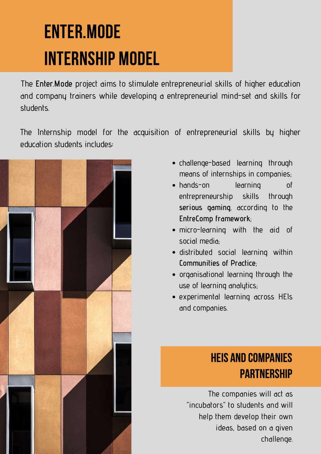# ENTER.MODE INTERNSHIP MODEL

Τhe **Enter.Mode** project aims to stimulate entrepreneurial skills of higher education and company trainers while developing a entrepreneurial mind-set and skills for students.

The Internship model for the acquisition of entrepreneurial skills by higher education students includes**:**



- challenge-based learning through means of internships in companies;
- hands-on learning of entrepreneurship skills through **serious gaming**, according to the **EntreComp framework**;
- micro-learning with the aid of social media;
- distributed social learning within **Communities of Practice**;
- organisational learning through the use of learning analytics;
- experimental learning across HEIs and companies.

### HEIs and Companies **PARTNERSHIP**

The companies will act as "incubators" to students and will help them develop their own ideas, based on a given challenge.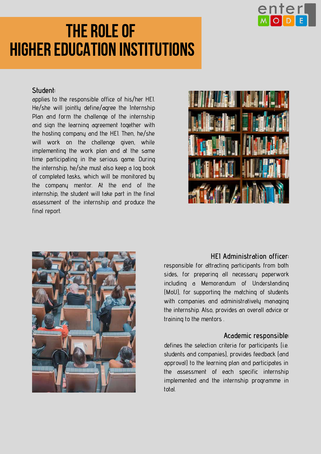

## THE ROLE OF higher education institutions

#### **Student:**

applies to the responsible office of his/her HEI. He/she will jointly define/agree the Internship Plan and form the challenge of the internship and sign the learning agreement together with the hosting company and the HEI. Then, he/she will work on the challenge given, while implementing the work plan and at the same time participating in the serious game. During the internship, he/she must also keep a log book of completed tasks, which will be monitored by the company mentor. At the end of the internship, the student will take part in the final assessment of the internship and produce the final report.





#### **HEI Administration officer:**

responsible for attracting participants from both sides, for preparing all necessary paperwork including a Memorandum of Understanding (MoU), for supporting the matching of students with companies and administratively managing the internship. Also, provides an overall advice or training to the mentors .

### **Academic responsible:**

defines the selection criteria for participants (i.e. students and companies), provides feedback (and approval) to the learning plan and participates in the assessment of each specific internship implemented and the internship programme in total.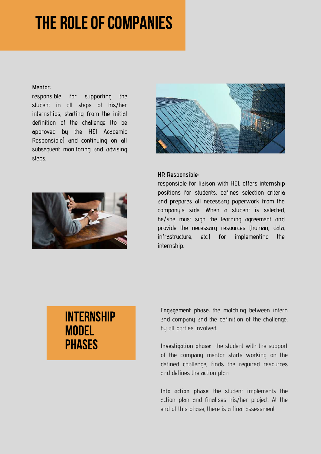## **THE ROLE OF COMPANIES**

#### **Mentor:**

responsible for supporting the student in all steps of his/her internships, starting from the initial definition of the challenge (to be approved by the HEI Academic Responsible) and continuing on all subsequent monitoring and advising steps.





#### **HR Responsible:**

responsible for liaison with HEI, offers internship positions for students, defines selection criteria and prepares all necessary paperwork from the company's side. When a student is selected, he/she must sign the learning agreement and provide the necessary resources (human, data, infrastructure, etc.) for implementing the internship.

### **INTERNSHIP MODEL PHASES**

**Engagement phase:** the matching between intern and company and the definition of the challenge, by all parties involved.

**Investigation phase:** the student with the support of the company mentor starts working on the defined challenge, finds the required resources and defines the action plan.

**Into action phase**: the student implements the action plan and finalises his/her project. At the end of this phase, there is a final assessment.